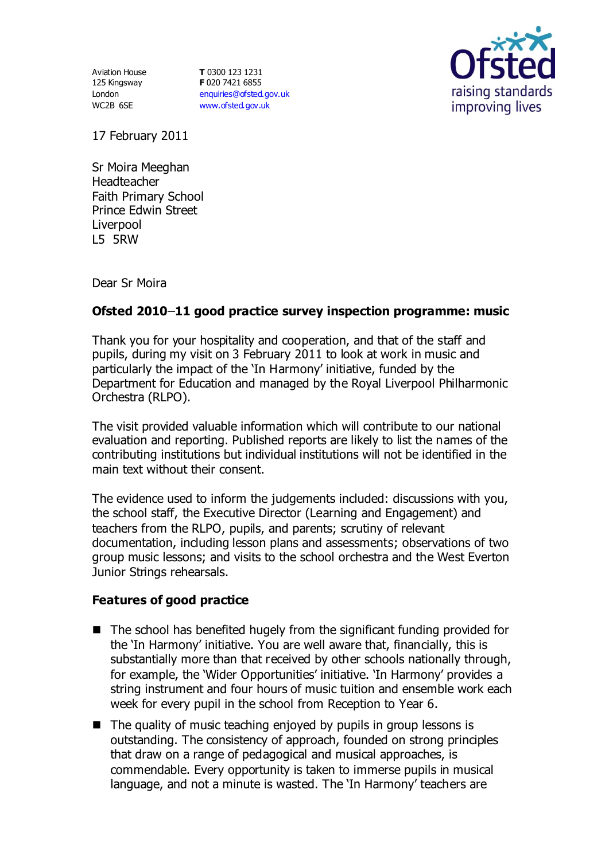Aviation House 125 Kingsway London WC2B 6SE

**T** 0300 123 1231 **F** 020 7421 6855 [enquiries@ofsted.gov.uk](mailto:enquiries@ofsted.gov.uk) [www.ofsted.gov.uk](http://www.ofsted.gov.uk/)



17 February 2011

Sr Moira Meeghan Headteacher Faith Primary School Prince Edwin Street Liverpool L5 5RW

Dear Sr Moira

## **Ofsted 2010 11 good practice survey inspection programme: music**

Thank you for your hospitality and cooperation, and that of the staff and pupils, during my visit on 3 February 2011 to look at work in music and particularly the impact of the 'In Harmony' initiative, funded by the Department for Education and managed by the Royal Liverpool Philharmonic Orchestra (RLPO).

The visit provided valuable information which will contribute to our national evaluation and reporting. Published reports are likely to list the names of the contributing institutions but individual institutions will not be identified in the main text without their consent.

The evidence used to inform the judgements included: discussions with you, the school staff, the Executive Director (Learning and Engagement) and teachers from the RLPO, pupils, and parents; scrutiny of relevant documentation, including lesson plans and assessments; observations of two group music lessons; and visits to the school orchestra and the West Everton Junior Strings rehearsals.

## **Features of good practice**

- $\blacksquare$  The school has benefited hugely from the significant funding provided for the 'In Harmony' initiative. You are well aware that, financially, this is substantially more than that received by other schools nationally through, for example, the 'Wider Opportunities' initiative. 'In Harmony' provides a string instrument and four hours of music tuition and ensemble work each week for every pupil in the school from Reception to Year 6.
- $\blacksquare$  The quality of music teaching enjoyed by pupils in group lessons is outstanding. The consistency of approach, founded on strong principles that draw on a range of pedagogical and musical approaches, is commendable. Every opportunity is taken to immerse pupils in musical language, and not a minute is wasted. The 'In Harmony' teachers are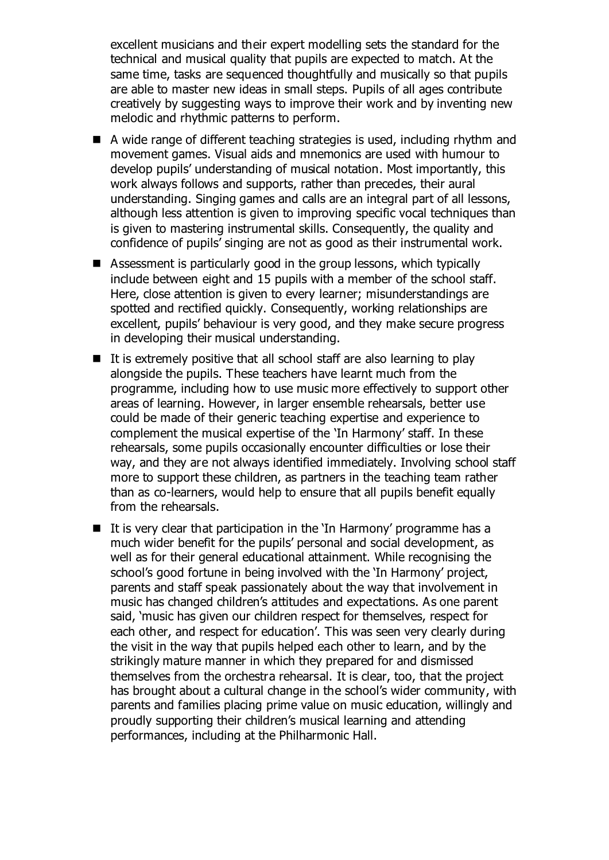excellent musicians and their expert modelling sets the standard for the technical and musical quality that pupils are expected to match. At the same time, tasks are sequenced thoughtfully and musically so that pupils are able to master new ideas in small steps. Pupils of all ages contribute creatively by suggesting ways to improve their work and by inventing new melodic and rhythmic patterns to perform.

- A wide range of different teaching strategies is used, including rhythm and movement games. Visual aids and mnemonics are used with humour to develop pupils' understanding of musical notation. Most importantly, this work always follows and supports, rather than precedes, their aural understanding. Singing games and calls are an integral part of all lessons, although less attention is given to improving specific vocal techniques than is given to mastering instrumental skills. Consequently, the quality and confidence of pupils' singing are not as good as their instrumental work.
- Assessment is particularly good in the group lessons, which typically include between eight and 15 pupils with a member of the school staff. Here, close attention is given to every learner; misunderstandings are spotted and rectified quickly. Consequently, working relationships are excellent, pupils' behaviour is very good, and they make secure progress in developing their musical understanding.
- $\blacksquare$  It is extremely positive that all school staff are also learning to play alongside the pupils. These teachers have learnt much from the programme, including how to use music more effectively to support other areas of learning. However, in larger ensemble rehearsals, better use could be made of their generic teaching expertise and experience to complement the musical expertise of the 'In Harmony' staff. In these rehearsals, some pupils occasionally encounter difficulties or lose their way, and they are not always identified immediately. Involving school staff more to support these children, as partners in the teaching team rather than as co-learners, would help to ensure that all pupils benefit equally from the rehearsals.
- $\blacksquare$  It is very clear that participation in the 'In Harmony' programme has a much wider benefit for the pupils' personal and social development, as well as for their general educational attainment. While recognising the school's good fortune in being involved with the 'In Harmony' project, parents and staff speak passionately about the way that involvement in music has changed children's attitudes and expectations. As one parent said, 'music has given our children respect for themselves, respect for each other, and respect for education'. This was seen very clearly during the visit in the way that pupils helped each other to learn, and by the strikingly mature manner in which they prepared for and dismissed themselves from the orchestra rehearsal. It is clear, too, that the project has brought about a cultural change in the school's wider community, with parents and families placing prime value on music education, willingly and proudly supporting their children's musical learning and attending performances, including at the Philharmonic Hall.